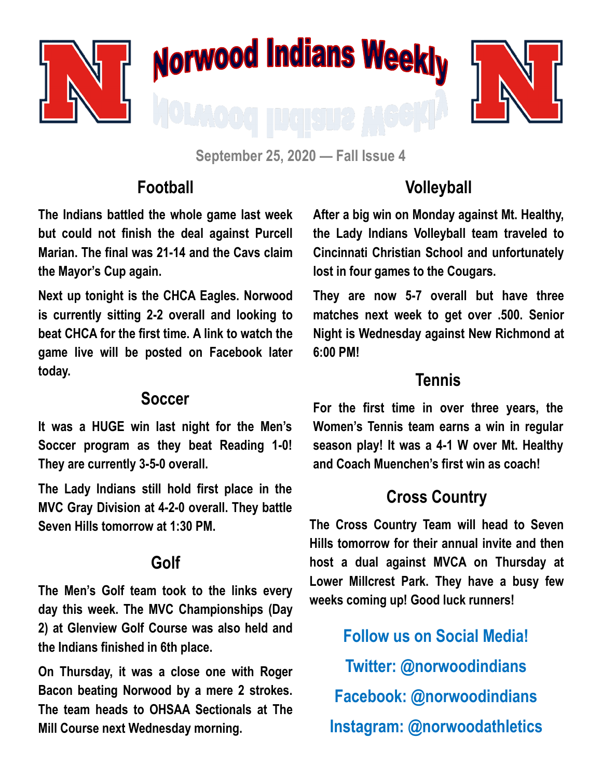

**September 25, 2020 — Fall Issue 4**

#### **Football**

**The Indians battled the whole game last week but could not finish the deal against Purcell Marian. The final was 21-14 and the Cavs claim the Mayor's Cup again.** 

**Next up tonight is the CHCA Eagles. Norwood is currently sitting 2-2 overall and looking to beat CHCA for the first time. A link to watch the game live will be posted on Facebook later today.**

#### **Soccer**

**It was a HUGE win last night for the Men's Soccer program as they beat Reading 1-0! They are currently 3-5-0 overall.** 

**The Lady Indians still hold first place in the MVC Gray Division at 4-2-0 overall. They battle Seven Hills tomorrow at 1:30 PM.**

### **Golf**

**The Men's Golf team took to the links every day this week. The MVC Championships (Day 2) at Glenview Golf Course was also held and the Indians finished in 6th place.** 

**On Thursday, it was a close one with Roger Bacon beating Norwood by a mere 2 strokes. The team heads to OHSAA Sectionals at The Mill Course next Wednesday morning.**

## **Volleyball**

**After a big win on Monday against Mt. Healthy, the Lady Indians Volleyball team traveled to Cincinnati Christian School and unfortunately lost in four games to the Cougars.** 

**They are now 5-7 overall but have three matches next week to get over .500. Senior Night is Wednesday against New Richmond at 6:00 PM!**

#### **Tennis**

**For the first time in over three years, the Women's Tennis team earns a win in regular season play! It was a 4-1 W over Mt. Healthy and Coach Muenchen's first win as coach!**

# **Cross Country**

**The Cross Country Team will head to Seven Hills tomorrow for their annual invite and then host a dual against MVCA on Thursday at Lower Millcrest Park. They have a busy few weeks coming up! Good luck runners!**

**Follow us on Social Media! Twitter: @norwoodindians Facebook: @norwoodindians Instagram: @norwoodathletics**